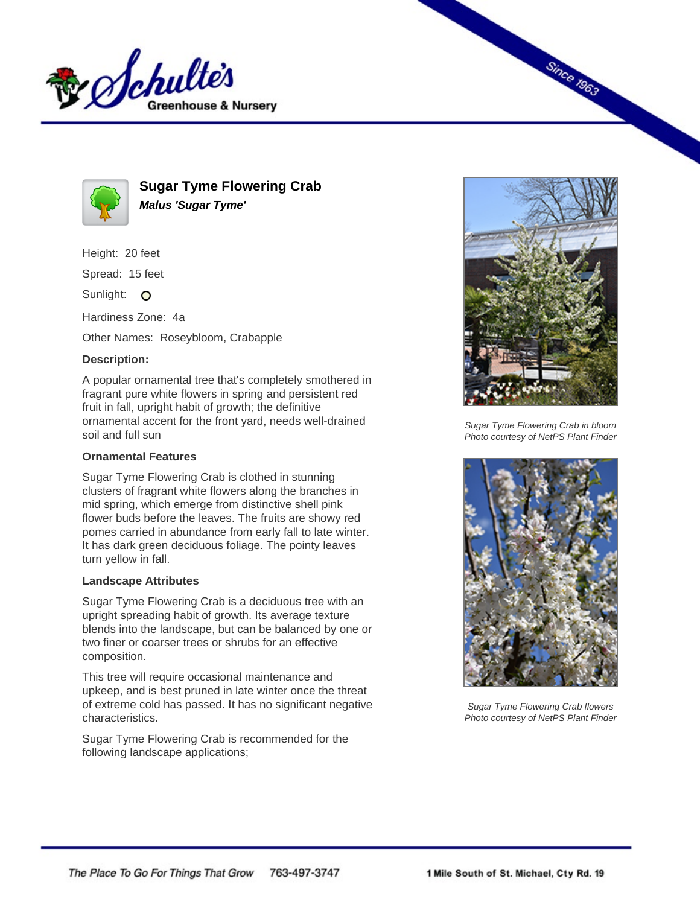



**Sugar Tyme Flowering Crab Malus 'Sugar Tyme'**

Height: 20 feet

Spread: 15 feet

Sunlight: O

Hardiness Zone: 4a

Other Names: Roseybloom, Crabapple

## **Description:**

A popular ornamental tree that's completely smothered in fragrant pure white flowers in spring and persistent red fruit in fall, upright habit of growth; the definitive ornamental accent for the front yard, needs well-drained soil and full sun

## **Ornamental Features**

Sugar Tyme Flowering Crab is clothed in stunning clusters of fragrant white flowers along the branches in mid spring, which emerge from distinctive shell pink flower buds before the leaves. The fruits are showy red pomes carried in abundance from early fall to late winter. It has dark green deciduous foliage. The pointy leaves turn yellow in fall.

## **Landscape Attributes**

Sugar Tyme Flowering Crab is a deciduous tree with an upright spreading habit of growth. Its average texture blends into the landscape, but can be balanced by one or two finer or coarser trees or shrubs for an effective composition.

This tree will require occasional maintenance and upkeep, and is best pruned in late winter once the threat of extreme cold has passed. It has no significant negative characteristics.

Sugar Tyme Flowering Crab is recommended for the following landscape applications;



**Since 1963** 

Sugar Tyme Flowering Crab in bloom Photo courtesy of NetPS Plant Finder



Sugar Tyme Flowering Crab flowers Photo courtesy of NetPS Plant Finder